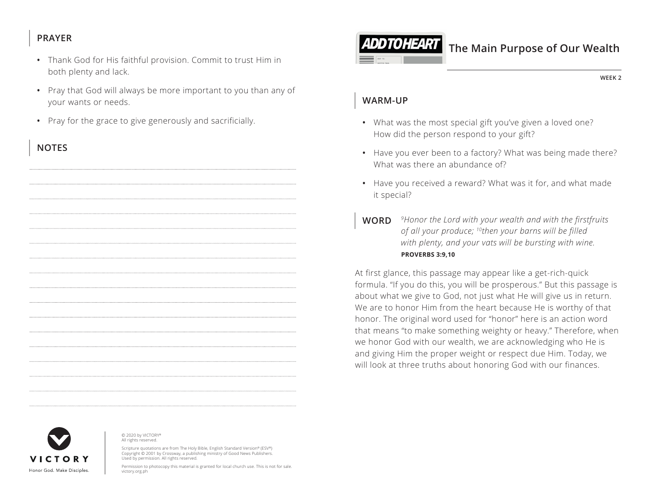#### **PRAYER**

- Thank God for His faithful provision. Commit to trust Him in both plenty and lack.
- Pray that God will always be more important to you than any of your wants or needs.
- Pray for the grace to give generously and sacrificially.

## **NOTES**



# **The Main Purpose of Our Wealth**

**WEEK 2**

#### **WARM-UP**

- What was the most special gift you've given a loved one? How did the person respond to your gift?
- Have you ever been to a factory? What was being made there? What was there an abundance of?
- Have you received a reward? What was it for, and what made it special?
- **WORD** *9Honor the Lord with your wealth and with the firstfruits of all your produce; 10then your barns will be filled with plenty, and your vats will be bursting with wine. ^***PROVERBS 3:9,10**

At first glance, this passage may appear like a get-rich-quick formula. "If you do this, you will be prosperous." But this passage is about what we give to God, not just what He will give us in return. We are to honor Him from the heart because He is worthy of that honor. The original word used for "honor" here is an action word that means "to make something weighty or heavy." Therefore, when we honor God with our wealth, we are acknowledging who He is and giving Him the proper weight or respect due Him. Today, we will look at three truths about honoring God with our finances.



© 2020 by VICTORY® All rights reserved.

Scripture quotations are from The Holy Bible, English Standard Version® (ESV®) Copyright © 2001 by Crossway, a publishing ministry of Good News Publishers. Used by permission. All rights reserved.

Permission to photocopy this material is granted for local church use. This is not for sale. victory.org.ph